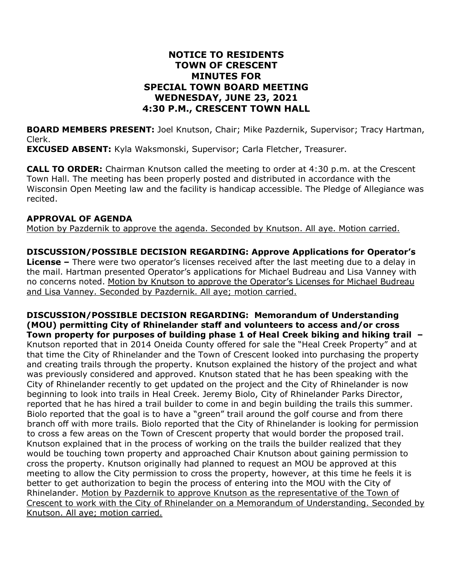## **NOTICE TO RESIDENTS TOWN OF CRESCENT MINUTES FOR SPECIAL TOWN BOARD MEETING WEDNESDAY, JUNE 23, 2021 4:30 P.M., CRESCENT TOWN HALL**

**BOARD MEMBERS PRESENT:** Joel Knutson, Chair; Mike Pazdernik, Supervisor; Tracy Hartman, Clerk.

**EXCUSED ABSENT:** Kyla Waksmonski, Supervisor; Carla Fletcher, Treasurer.

**CALL TO ORDER:** Chairman Knutson called the meeting to order at 4:30 p.m. at the Crescent Town Hall. The meeting has been properly posted and distributed in accordance with the Wisconsin Open Meeting law and the facility is handicap accessible. The Pledge of Allegiance was recited.

## **APPROVAL OF AGENDA**

Motion by Pazdernik to approve the agenda. Seconded by Knutson. All aye. Motion carried.

**DISCUSSION/POSSIBLE DECISION REGARDING: Approve Applications for Operator's License –** There were two operator's licenses received after the last meeting due to a delay in the mail. Hartman presented Operator's applications for Michael Budreau and Lisa Vanney with no concerns noted. Motion by Knutson to approve the Operator's Licenses for Michael Budreau and Lisa Vanney. Seconded by Pazdernik. All aye; motion carried.

**DISCUSSION/POSSIBLE DECISION REGARDING: Memorandum of Understanding (MOU) permitting City of Rhinelander staff and volunteers to access and/or cross Town property for purposes of building phase 1 of Heal Creek biking and hiking trail –** Knutson reported that in 2014 Oneida County offered for sale the "Heal Creek Property" and at that time the City of Rhinelander and the Town of Crescent looked into purchasing the property and creating trails through the property. Knutson explained the history of the project and what was previously considered and approved. Knutson stated that he has been speaking with the City of Rhinelander recently to get updated on the project and the City of Rhinelander is now beginning to look into trails in Heal Creek. Jeremy Biolo, City of Rhinelander Parks Director, reported that he has hired a trail builder to come in and begin building the trails this summer. Biolo reported that the goal is to have a "green" trail around the golf course and from there branch off with more trails. Biolo reported that the City of Rhinelander is looking for permission to cross a few areas on the Town of Crescent property that would border the proposed trail. Knutson explained that in the process of working on the trails the builder realized that they would be touching town property and approached Chair Knutson about gaining permission to cross the property. Knutson originally had planned to request an MOU be approved at this meeting to allow the City permission to cross the property, however, at this time he feels it is better to get authorization to begin the process of entering into the MOU with the City of Rhinelander. Motion by Pazdernik to approve Knutson as the representative of the Town of Crescent to work with the City of Rhinelander on a Memorandum of Understanding. Seconded by Knutson. All aye; motion carried.